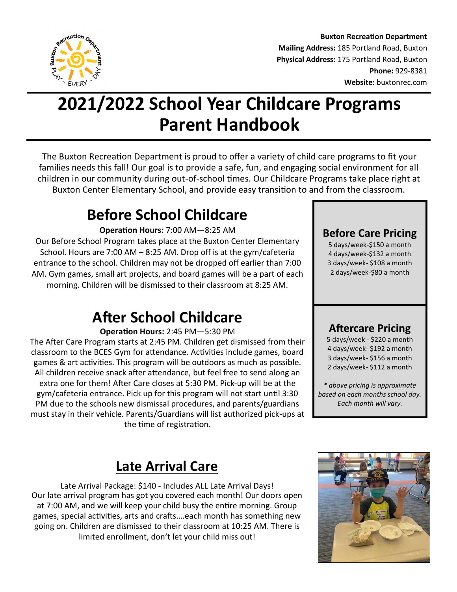

**Buxton Recreation Department Mailing Address:** 185 Portland Road, Buxton **Physical Address:** 175 Portland Road, Buxton **Phone:** 929-8381 **Website:** buxtonrec.com

# **2021/2022 School Year Childcare Programs Parent Handbook**

The Buxton Recreation Department is proud to offer a variety of child care programs to fit your families needs this fall! Our goal is to provide a safe, fun, and engaging social environment for all children in our community during out-of-school times. Our Childcare Programs take place right at Buxton Center Elementary School, and provide easy transition to and from the classroom.

## **Before School Childcare**

**Operation Hours:** 7:00 AM—8:25 AM

Our Before School Program takes place at the Buxton Center Elementary School. Hours are 7:00 AM – 8:25 AM. Drop off is at the gym/cafeteria entrance to the school. Children may not be dropped off earlier than 7:00 AM. Gym games, small art projects, and board games will be a part of each morning. Children will be dismissed to their classroom at 8:25 AM.

## **After School Childcare**

**Operation Hours:** 2:45 PM—5:30 PM

The After Care Program starts at 2:45 PM. Children get dismissed from their classroom to the BCES Gym for attendance. Activities include games, board games & art activities. This program will be outdoors as much as possible. All children receive snack after attendance, but feel free to send along an extra one for them! After Care closes at 5:30 PM. Pick-up will be at the gym/cafeteria entrance. Pick up for this program will not start until 3:30 PM due to the schools new dismissal procedures, and parents/guardians must stay in their vehicle. Parents/Guardians will list authorized pick-ups at the time of registration.

**Before Care Pricing** 

5 days/week-\$150 a month 4 days/week-\$132 a month 3 days/week- \$108 a month 2 days/week-\$80 a month

#### **Aftercare Pricing**

5 days/week - \$220 a month 4 days/week- \$192 a month 3 days/week- \$156 a month 2 days/week- \$112 a month

*\* above pricing is approximate based on each months school day. Each month will vary.* 

## **Late Arrival Care**

Late Arrival Package: \$140 - Includes ALL Late Arrival Days! Our late arrival program has got you covered each month! Our doors open at 7:00 AM, and we will keep your child busy the entire morning. Group games, special activities, arts and crafts….each month has something new going on. Children are dismissed to their classroom at 10:25 AM. There is limited enrollment, don't let your child miss out!

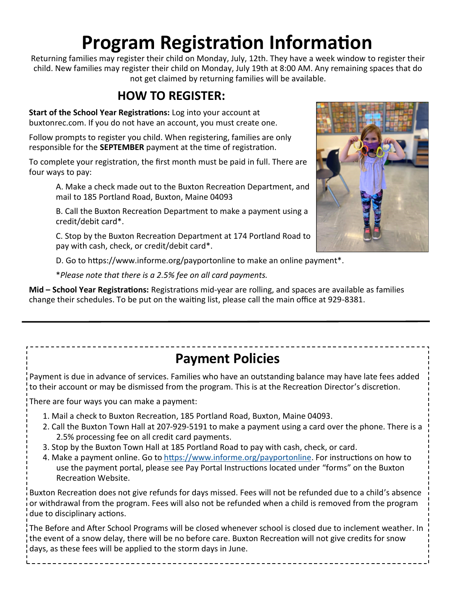# **Program Registration Information**

Returning families may register their child on Monday, July, 12th. They have a week window to register their child. New families may register their child on Monday, July 19th at 8:00 AM. Any remaining spaces that do not get claimed by returning families will be available.

#### **HOW TO REGISTER:**

**Start of the School Year Registrations:** Log into your account at buxtonrec.com. If you do not have an account, you must create one.

Follow prompts to register you child. When registering, families are only responsible for the **SEPTEMBER** payment at the time of registration.

To complete your registration, the first month must be paid in full. There are four ways to pay:

A. Make a check made out to the Buxton Recreation Department, and mail to 185 Portland Road, Buxton, Maine 04093

B. Call the Buxton Recreation Department to make a payment using a credit/debit card\*.

C. Stop by the Buxton Recreation Department at 174 Portland Road to pay with cash, check, or credit/debit card\*.

D. Go to https://www.informe.org/payportonline to make an online payment\*.

\**Please note that there is a 2.5% fee on all card payments.*

**Mid – School Year Registrations:** Registrations mid-year are rolling, and spaces are available as families change their schedules. To be put on the waiting list, please call the main office at 929-8381.

### **Payment Policies**

Payment is due in advance of services. Families who have an outstanding balance may have late fees added to their account or may be dismissed from the program. This is at the Recreation Director's discretion.

There are four ways you can make a payment:

- 1. Mail a check to Buxton Recreation, 185 Portland Road, Buxton, Maine 04093.
- 2. Call the Buxton Town Hall at 207-929-5191 to make a payment using a card over the phone. There is a 2.5% processing fee on all credit card payments.
- 3. Stop by the Buxton Town Hall at 185 Portland Road to pay with cash, check, or card.
- 4. Make a payment online. Go to [https://www.informe.org/payportonline.](https://www.informe.org/payportonline) For instructions on how to use the payment portal, please see Pay Portal Instructions located under "forms" on the Buxton Recreation Website.

Buxton Recreation does not give refunds for days missed. Fees will not be refunded due to a child's absence or withdrawal from the program. Fees will also not be refunded when a child is removed from the program due to disciplinary actions.

The Before and After School Programs will be closed whenever school is closed due to inclement weather. In the event of a snow delay, there will be no before care. Buxton Recreation will not give credits for snow days, as these fees will be applied to the storm days in June.

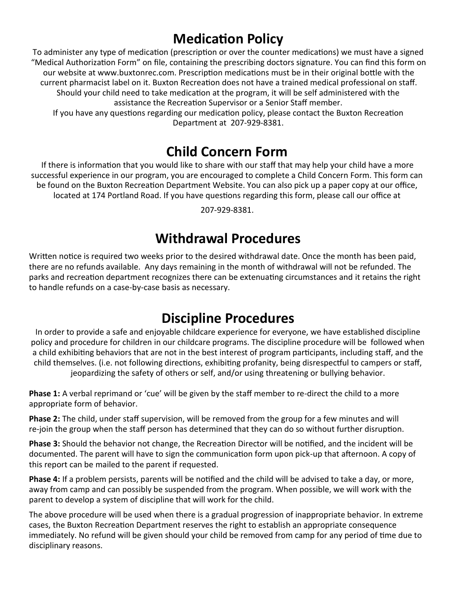## **Medication Policy**

To administer any type of medication (prescription or over the counter medications) we must have a signed "Medical Authorization Form" on file, containing the prescribing doctors signature. You can find this form on our website at www.buxtonrec.com. Prescription medications must be in their original bottle with the current pharmacist label on it. Buxton Recreation does not have a trained medical professional on staff. Should your child need to take medication at the program, it will be self administered with the assistance the Recreation Supervisor or a Senior Staff member. If you have any questions regarding our medication policy, please contact the Buxton Recreation Department at 207-929-8381.

#### **Child Concern Form**

If there is information that you would like to share with our staff that may help your child have a more successful experience in our program, you are encouraged to complete a Child Concern Form. This form can be found on the Buxton Recreation Department Website. You can also pick up a paper copy at our office, located at 174 Portland Road. If you have questions regarding this form, please call our office at

207-929-8381.

#### **Withdrawal Procedures**

Written notice is required two weeks prior to the desired withdrawal date. Once the month has been paid, there are no refunds available. Any days remaining in the month of withdrawal will not be refunded. The parks and recreation department recognizes there can be extenuating circumstances and it retains the right to handle refunds on a case-by-case basis as necessary.

#### **Discipline Procedures**

In order to provide a safe and enjoyable childcare experience for everyone, we have established discipline policy and procedure for children in our childcare programs. The discipline procedure will be followed when a child exhibiting behaviors that are not in the best interest of program participants, including staff, and the child themselves. (i.e. not following directions, exhibiting profanity, being disrespectful to campers or staff, jeopardizing the safety of others or self, and/or using threatening or bullying behavior.

**Phase 1:** A verbal reprimand or 'cue' will be given by the staff member to re-direct the child to a more appropriate form of behavior.

**Phase 2:** The child, under staff supervision, will be removed from the group for a few minutes and will re-join the group when the staff person has determined that they can do so without further disruption.

**Phase 3:** Should the behavior not change, the Recreation Director will be notified, and the incident will be documented. The parent will have to sign the communication form upon pick-up that afternoon. A copy of this report can be mailed to the parent if requested.

**Phase 4:** If a problem persists, parents will be notified and the child will be advised to take a day, or more, away from camp and can possibly be suspended from the program. When possible, we will work with the parent to develop a system of discipline that will work for the child.

The above procedure will be used when there is a gradual progression of inappropriate behavior. In extreme cases, the Buxton Recreation Department reserves the right to establish an appropriate consequence immediately. No refund will be given should your child be removed from camp for any period of time due to disciplinary reasons.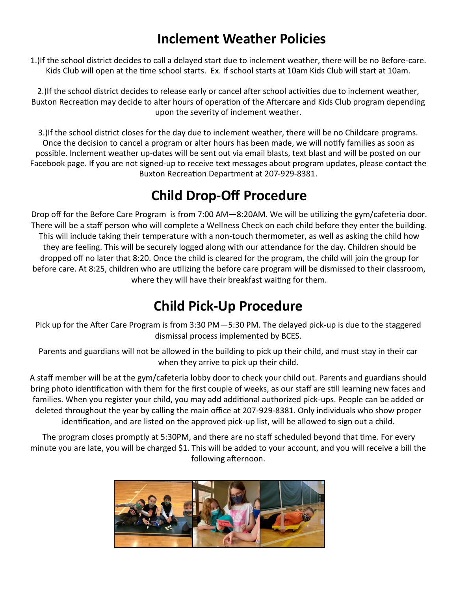#### **Inclement Weather Policies**

1.)If the school district decides to call a delayed start due to inclement weather, there will be no Before-care. Kids Club will open at the time school starts. Ex. If school starts at 10am Kids Club will start at 10am.

2.)If the school district decides to release early or cancel after school activities due to inclement weather, Buxton Recreation may decide to alter hours of operation of the Aftercare and Kids Club program depending upon the severity of inclement weather.

3.)If the school district closes for the day due to inclement weather, there will be no Childcare programs. Once the decision to cancel a program or alter hours has been made, we will notify families as soon as possible. Inclement weather up-dates will be sent out via email blasts, text blast and will be posted on our Facebook page. If you are not signed-up to receive text messages about program updates, please contact the Buxton Recreation Department at 207-929-8381.

## **Child Drop-Off Procedure**

Drop off for the Before Care Program is from 7:00 AM—8:20AM. We will be utilizing the gym/cafeteria door. There will be a staff person who will complete a Wellness Check on each child before they enter the building. This will include taking their temperature with a non-touch thermometer, as well as asking the child how they are feeling. This will be securely logged along with our attendance for the day. Children should be dropped off no later that 8:20. Once the child is cleared for the program, the child will join the group for before care. At 8:25, children who are utilizing the before care program will be dismissed to their classroom, where they will have their breakfast waiting for them.

### **Child Pick-Up Procedure**

Pick up for the After Care Program is from 3:30 PM—5:30 PM. The delayed pick-up is due to the staggered dismissal process implemented by BCES.

Parents and guardians will not be allowed in the building to pick up their child, and must stay in their car when they arrive to pick up their child.

A staff member will be at the gym/cafeteria lobby door to check your child out. Parents and guardians should bring photo identification with them for the first couple of weeks, as our staff are still learning new faces and families. When you register your child, you may add additional authorized pick-ups. People can be added or deleted throughout the year by calling the main office at 207-929-8381. Only individuals who show proper identification, and are listed on the approved pick-up list, will be allowed to sign out a child.

The program closes promptly at 5:30PM, and there are no staff scheduled beyond that time. For every minute you are late, you will be charged \$1. This will be added to your account, and you will receive a bill the following afternoon.